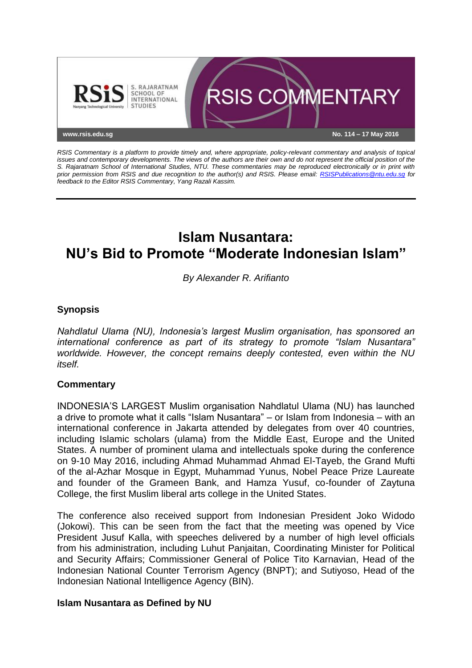

*RSIS Commentary is a platform to provide timely and, where appropriate, policy-relevant commentary and analysis of topical issues and contemporary developments. The views of the authors are their own and do not represent the official position of the S. Rajaratnam School of International Studies, NTU. These commentaries may be reproduced electronically or in print with prior permission from RSIS and due recognition to the author(s) and RSIS. Please email: [RSISPublications@ntu.edu.sg](mailto:RSISPublications@ntu.edu.sg) for feedback to the Editor RSIS Commentary, Yang Razali Kassim.*

# **Islam Nusantara: NU's Bid to Promote "Moderate Indonesian Islam"**

*By Alexander R. Arifianto*

## **Synopsis**

*Nahdlatul Ulama (NU), Indonesia's largest Muslim organisation, has sponsored an international conference as part of its strategy to promote "Islam Nusantara" worldwide. However, the concept remains deeply contested, even within the NU itself.*

## **Commentary**

INDONESIA'S LARGEST Muslim organisation Nahdlatul Ulama (NU) has launched a drive to promote what it calls "Islam Nusantara" – or Islam from Indonesia – with an international conference in Jakarta attended by delegates from over 40 countries, including Islamic scholars (ulama) from the Middle East, Europe and the United States. A number of prominent ulama and intellectuals spoke during the conference on 9-10 May 2016, including Ahmad Muhammad Ahmad El-Tayeb, the Grand Mufti of the al-Azhar Mosque in Egypt, Muhammad Yunus, Nobel Peace Prize Laureate and founder of the Grameen Bank, and Hamza Yusuf, co-founder of Zaytuna College, the first Muslim liberal arts college in the United States.

The conference also received support from Indonesian President Joko Widodo (Jokowi). This can be seen from the fact that the meeting was opened by Vice President Jusuf Kalla, with speeches delivered by a number of high level officials from his administration, including Luhut Panjaitan, Coordinating Minister for Political and Security Affairs; Commissioner General of Police Tito Karnavian, Head of the Indonesian National Counter Terrorism Agency (BNPT); and Sutiyoso, Head of the Indonesian National Intelligence Agency (BIN).

#### **Islam Nusantara as Defined by NU**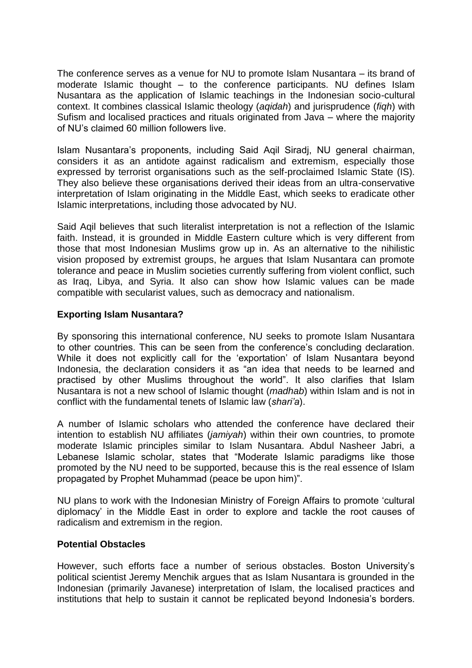The conference serves as a venue for NU to promote Islam Nusantara – its brand of moderate Islamic thought – to the conference participants. NU defines Islam Nusantara as the application of Islamic teachings in the Indonesian socio-cultural context. It combines classical Islamic theology (*aqidah*) and jurisprudence (*fiqh*) with Sufism and localised practices and rituals originated from Java – where the majority of NU's claimed 60 million followers live.

Islam Nusantara's proponents, including Said Aqil Siradj, NU general chairman, considers it as an antidote against radicalism and extremism, especially those expressed by terrorist organisations such as the self-proclaimed Islamic State (IS). They also believe these organisations derived their ideas from an ultra-conservative interpretation of Islam originating in the Middle East, which seeks to eradicate other Islamic interpretations, including those advocated by NU.

Said Aqil believes that such literalist interpretation is not a reflection of the Islamic faith. Instead, it is grounded in Middle Eastern culture which is very different from those that most Indonesian Muslims grow up in. As an alternative to the nihilistic vision proposed by extremist groups, he argues that Islam Nusantara can promote tolerance and peace in Muslim societies currently suffering from violent conflict, such as Iraq, Libya, and Syria. It also can show how Islamic values can be made compatible with secularist values, such as democracy and nationalism.

## **Exporting Islam Nusantara?**

By sponsoring this international conference, NU seeks to promote Islam Nusantara to other countries. This can be seen from the conference's concluding declaration. While it does not explicitly call for the 'exportation' of Islam Nusantara beyond Indonesia, the declaration considers it as "an idea that needs to be learned and practised by other Muslims throughout the world". It also clarifies that Islam Nusantara is not a new school of Islamic thought (*madhab*) within Islam and is not in conflict with the fundamental tenets of Islamic law (*shari'a*).

A number of Islamic scholars who attended the conference have declared their intention to establish NU affiliates (*jamiyah*) within their own countries, to promote moderate Islamic principles similar to Islam Nusantara. Abdul Nasheer Jabri, a Lebanese Islamic scholar, states that "Moderate Islamic paradigms like those promoted by the NU need to be supported, because this is the real essence of Islam propagated by Prophet Muhammad (peace be upon him)".

NU plans to work with the Indonesian Ministry of Foreign Affairs to promote 'cultural diplomacy' in the Middle East in order to explore and tackle the root causes of radicalism and extremism in the region.

## **Potential Obstacles**

However, such efforts face a number of serious obstacles. Boston University's political scientist Jeremy Menchik argues that as Islam Nusantara is grounded in the Indonesian (primarily Javanese) interpretation of Islam, the localised practices and institutions that help to sustain it cannot be replicated beyond Indonesia's borders.